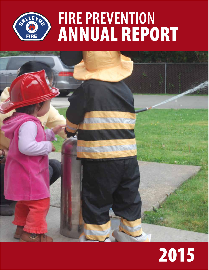



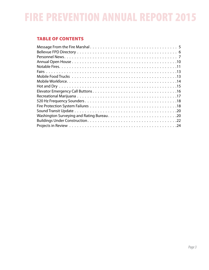# TABLE OF CONTENTS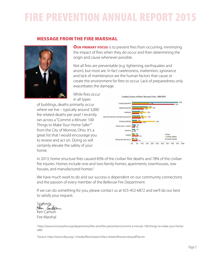### MESSAGE FROM THE FIRE MARSHAL



**OUR PRIMARY FOCUS** is to prevent fires from occurring, minimizing the impact of fires when they do occur and then determining the origin and cause whenever possible.

Not all fires are preventable (e.g. lightening, earthquakes and arson), but most are. In fact carelessness, inattention, ignorance and lack of maintenance are the human factors that cause or create the environment for fires to occur. Lack of preparedness only exacerbates the damage.

While fires occur in all types

of buildings, deaths primarily occur where we live – typically around 3,000 fire related deaths per year! I recently ran across a "Commit a Minute: 100 Things to Make Your Home Safer<sup>1</sup>" from the City of Monroe, Ohio. It's a great list that I would encourage you to review and act on. Doing so will certainly elevate the safety of your home.



In 2013, home structure fires caused 83% of the civilian fire deaths and 78% of the civilian fire injuries. Homes include one-and two-family homes, apartments, townhouses, row houses, and manufactured homes.<sup>2</sup>

We have much work to do and our success is dependent on our community connections and the passion of every member of the Bellevue Fire Department.

If we can do something for you, please contact us at 425-452-6872 and we'll do our best to satisfy your request.

Sincerely,<br>Sen *lanton* Ken Carlson Fire Marshal

1 http://www.monroeohio.org/departments/fire-ems/fire-prevention/commit-a-minute-100-things-to-make-your-homesafer

2 Source: http://www.nfpa.org/~/media/files/research/fact-sheets/fireoverview.pdf?la=en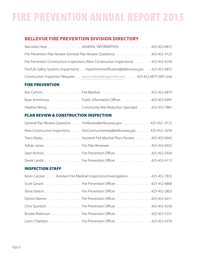# BELLEVUE FIRE PREVENTION DIVISION DIRECTORY

| Nannette Heye GENERAL INFORMATION 425-452-6872                                          |  |
|-----------------------------------------------------------------------------------------|--|
| Fire Prevention Plan Review (General Plan Review Questions) 425-452-4122                |  |
| Fire Prevention Construction Inspections (New Construction Inspections) 425-452-4254    |  |
| Fire/Life Safety Systems Impairments impairment notification@bellevuewa.gov425-452-6872 |  |
| Construction Inspection Requests www.mybuildingpermit.com 425-452-6875 (IVR Line)       |  |

### FIRE PREVENTION

| Ryan Armstrong. Public Information Officer. 425-452-6995    |  |
|-------------------------------------------------------------|--|
| Heather WongCommunity Risk Reduction Specialist425-452-7881 |  |

### PLAN REVIEW & CONSTRUCTION INSPECTION

| General Plan Review Questions FireReview@bellevuewa.gov 425-452-4122            |  |
|---------------------------------------------------------------------------------|--|
| New Construction Inspections. FireConstructionInsp@bellevuewa.gov. 425-452-4254 |  |
| Travis Ripley Assistant Fire Marshal-Plans Review. 425-452-6042                 |  |
| Adrian Jones Fire Plan Reviewer. 425-452-6032                                   |  |
| Sean Nichols Fire Prevention Officer 425-452-2926                               |  |
| Derek Landis Fire Prevention Officer 425-452-4112                               |  |

### INSPECTION STAFF

| Kevin Carolan Assistant Fire Marshal-Inspections/Investigations 425-452-7832 |  |
|------------------------------------------------------------------------------|--|
| Scott Gerard Fire Prevention Officer 425-452-6808                            |  |
| Steve Sexton Fire Prevention Officer 425-452-2803                            |  |
| Dennis WarnerFire Prevention Officer425-452-6011                             |  |
| Chris Spurlock Fire Prevention Officer 425-452-4256                          |  |
| Brooke Robinson Fire Prevention Officer 425-452-5231                         |  |
| Loren Charlston Fire Prevention Officer 425-452-4376                         |  |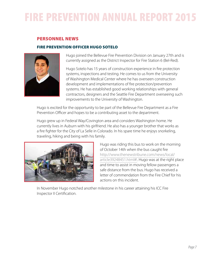### PERSONNEL NEWS

### FIRE PREVENTION OFFICER HUGO SOTELO



Hugo joined the Bellevue Fire Prevention Division on January 27th and is currently assigned as the District Inspector for Fire Station 6 (Bel-Red).

Hugo Sotelo has 15 years of construction experience in fire protection systems, inspections and testing. He comes to us from the University of Washington Medical Center where he has overseen construction development and implementations of fire protection/prevention systems. He has established good working relationships with general contractors, designers and the Seattle Fire Department overseeing such improvements to the University of Washington.

Hugo is excited for the opportunity to be part of the Bellevue Fire Department as a Fire Prevention Officer and hopes to be a contributing asset to the department.

Hugo grew up in Federal Way/Covington area and considers Washington home. He currently lives in Auburn with his girlfriend. He also has a younger brother that works as a fire fighter for the City of La Selle in Colorado. In his spare time he enjoys snorkeling, traveling, hiking and being with his family.



Hugo was riding this bus to work on the morning of October 14th when the bus caught fire http://www.thenewstribune.com/news/local/ article39248451.html#!. Hugo was at the right place and time to assist in moving fellow passengers a safe distance from the bus. Hugo has received a letter of commendation from the Fire Chief for his actions on this incident.

In November Hugo notched another milestone in his career attaining his ICC Fire Inspector II Certification.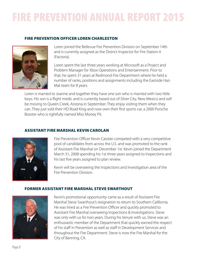### FIRE PREVENTION OFFICER LOREN CHARLESTON



Loren joined the Bellevue Fire Prevention Division on September 14th and is currently assigned as the District Inspector for Fire Station 4 (Factoria).

Loren spent the last three years working at Microsoft as a Project and Problem Manager for Xbox Operations and Entertainment. Prior to that, he spent 31 years at Redmond Fire Department where he held a number of ranks, positions and assignments including the Eastside Haz-Mat team for 8 years.

Loren is married to Joanne and together they have one son who is married with two little boys. His son is a flight medic and is currently based out of Silver City, New Mexico and will be moving to Queen Creek, Arizona in September. They enjoy visiting them when they can. They just sold their HD Road King and now own their first sports car, a 2000 Porsche Boxster who is rightfully named Miss Money Pit.

### ASSISTANT FIRE MARSHAL KEVIN CAROLAN



Fire Prevention Officer Kevin Carolan competed with a very competitive pool of candidates from across the U.S. and was promoted to the rank of Assistant Fire Marshal on December 1st. Kevin joined the Department March 31, 2008 spending his 1st three years assigned to Inspections and his last five years assigned to plan review.

Kevin will be overseeing the Inspections and Investigation area of the Fire Prevention Division.

### FORMER ASSISTANT FIRE MARSHAL STEVE SWARTHOUT



Kevin's promotional opportunity came as a result of Assistant Fire Marshal Steve Swarthout's resignation to return to Southern California. He was hired as a Fire Prevention Officer and quickly promoted to Assistant Fire Marshal overseeing Inspections & Investigations. Steve was only with us for two years. During his tenure with us, Steve was an enthusiastic member of the Department that quickly earned the respect of his staff in Prevention as well as staff in Development Services and throughout the Fire Department. Steve is now the Fire Marshal for the City of Banning, CA.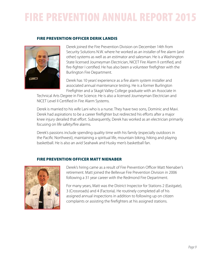#### FIRE PREVENTION OFFICER DERIK LANDIS



Derek joined the Fire Prevention Division on December 14th from Security Solutions N.W. where he worked as an installer of fire alarm (and other) systems as well as an estimator and salesman. He is a Washington State licensed Journeyman Electrician, NICET Fire Alarm II certified, and fire-fighter I certified. He has also been a volunteer firefighter with the Burlington Fire Department.

Derek has 10 years' experience as a fire alarm system installer and associated annual maintenance testing. He is a former Burlington Firefighter and a Skagit Valley College graduate with an Associate in

Technical Arts Degree in Fire Science. He is also a licensed Journeyman Electrician and NICET Level II Certified in Fire Alarm Systems.

Derek is married to his wife Lani who is a nurse. They have two sons, Dominic and Mavi. Derek had aspirations to be a career firefighter but redirected his efforts after a major knee injury derailed that effort. Subsequently, Derek has worked as an electrician primarily focusing on life safety/fire alarms.

Derek's passions include spending quality time with his family (especially outdoors in the Pacific Northwest), maintaining a spiritual life, mountain biking, hiking and playing basketball. He is also an avid Seahawk and Husky men's basketball fan.

#### FIRE PREVENTION OFFICER MATT NIENABER



Derek's hiring came as a result of Fire Prevention Officer Matt Nienaber's retirement. Matt joined the Bellevue Fire Prevention Division in 2006 following a 31 year career with the Redmond Fire Department.

For many years, Matt was the District Inspector for Stations 2 (Eastgate), 3 (Crossroads) and 4 (Factoria). He routinely completed all of his assigned annual inspections in addition to following up on citizen complaints or assisting the firefighters at his assigned stations.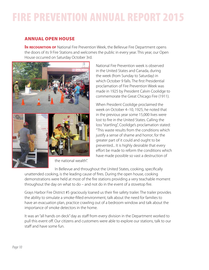# ANNUAL OPEN HOUSE

**IN RECOGNITION OF** National Fire Prevention Week, the Bellevue Fire Department opens the doors of its 9 Fire Stations and welcomes the public in every year. This year, our Open House occurred on Saturday October 3rd.



National Fire Prevention week is observed in the United States and Canada, during the week (from Sunday to Saturday) in which October 9 falls. The first Presidential proclamation of Fire Prevention Week was made in 1925 by President Calvin Coolidge to commemorate the Great Chicago Fire (1911).

When President Coolidge proclaimed the week on October 4–10, 1925, he noted that in the previous year some 15,000 lives were lost to fire in the United States. Calling the loss "startling", Coolidge's proclamation stated: "This waste results from the conditions which justify a sense of shame and horror; for the greater part of it could and ought to be prevented... It is highly desirable that every effort be made to reform the conditions which have made possible so vast a destruction of

In Bellevue and throughout the United States, cooking, specifically unattended cooking, is the leading cause of fires. During the open house, cooking demonstrations were held at most of the fire stations providing a very teachable moment throughout the day on what to do – and not do in the event of a stovetop fire.

Grays Harbor Fire District #5 graciously loaned us their fire safety trailer. The trailer provides the ability to simulate a smoke-filled environment, talk about the need for families to have an evacuation plan, practice crawling out of a bedroom window and talk about the importance of smoke detectors in the home.

It was an "all hands on deck" day as staff from every division in the Department worked to pull this event off. Our citizens and customers were able to explore our stations, talk to our staff and have some fun.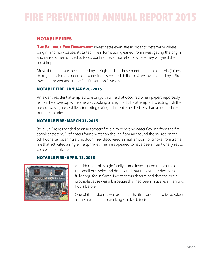# NOTABLE FIRES

**THE BELLEVUE FIRE DEPARTMENT** investigates every fire in order to determine where (origin) and how (cause) it started. The information gleaned from investigating the origin and cause is then utilized to focus our fire prevention efforts where they will yield the most impact.

Most of the fires are investigated by firefighters but those meeting certain criteria (injury, death, suspicious in nature or exceeding a specified dollar loss) are investigated by a Fire Investigator working in the Fire Prevention Division.

### NOTABLE FIRE- JANUARY 20, 2015

An elderly resident attempted to extinguish a fire that occurred when papers reportedly fell on the stove top while she was cooking and ignited. She attempted to extinguish the fire but was injured while attempting extinguishment. She died less than a month later from her injuries.

### NOTABLE FIRE- MARCH 31, 2015

Bellevue Fire responded to an automatic fire alarm reporting water flowing from the fire sprinkler system. Firefighters found water on the 5th floor and found the source on the 6th floor after opening a unit door. They discovered a small amount of smoke from a small fire that activated a single fire sprinkler. The fire appeared to have been intentionally set to conceal a homicide.

### NOTABLE FIRE- APRIL 13, 2015



A resident of this single family home investigated the source of the smell of smoke and discovered that the exterior deck was fully engulfed in flame. Investigators determined that the most probable cause was a barbeque that had been in use less than two hours before.

One of the residents was asleep at the time and had to be awoken as the home had no working smoke detectors.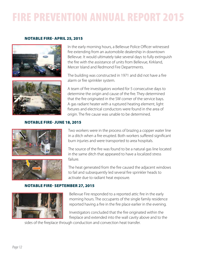### NOTABLE FIRE- APRIL 25, 2015





NOTABLE FIRE- JUNE 18, 2015





In the early morning hours, a Bellevue Police Officer witnessed fire extending from an automobile dealership in downtown Bellevue. It would ultimately take several days to fully extinguish the fire with the assistance of units from Bellevue, Kirkland, Mercer Island and Redmond Fire Departments.

The building was constructed in 1971 and did not have a fire alarm or fire sprinkler system.

A team of fire investigators worked for 5 consecutive days to determine the origin and cause of the fire. They determined that the fire originated in the SW corner of the service bays. A gas radiant heater with a ruptured heating element, light fixtures and electrical conductors were found in the area of origin. The fire cause was unable to be determined.

Two workers were in the process of brazing a copper water line in a ditch when a fire erupted. Both workers suffered significant burn injuries and were transported to area hospitals.

The source of the fire was found to be a natural gas line located in the same ditch that appeared to have a localized stress

The heat generated from the fire caused the adjacent windows to fail and subsequently led several fire sprinkler heads to activate due to radiant heat exposure.

### NOTABLE FIRE- SEPTEMBER 27, 2015



Bellevue Fire responded to a reported attic fire in the early morning hours. The occupants of the single family residence reported having a fire in the fire place earlier in the evening.

Investigators concluded that the fire originated within the fireplace and extended into the wall cavity above and to the

sides of the fireplace through conduction and convection heat transfer.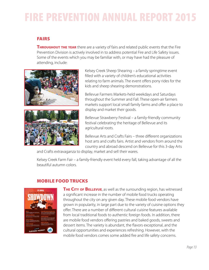# FAIRS

**THROUGHOUT THE YEAR** there are a variety of fairs and related public events that the Fire Prevention Division is actively involved in to address potential Fire and Life Safety issues. Some of the events which you may be familiar with, or may have had the pleasure of attending, include:



Kelsey Creek Sheep Shearing – a family springtime event filled with a variety of children's educational activities relating to farm animals. The event offers pony rides for the kids and sheep shearing demonstrations.

Bellevue Farmers Markets-held weekdays and Saturdays throughout the Summer and Fall. These open-air farmers markets support local small family farms and offer a place to display and market their goods.

Bellevue Strawberry Festival – a family-friendly community festival celebrating the heritage of Bellevue and its agricultural roots.

Bellevue Arts and Crafts Fairs – three different organizations host arts and crafts fairs. Artist and vendors from around the country and abroad descend on Bellevue for this 3-day Arts

and Crafts extravaganza to display, market and sell their wares.

Kelsey Creek Farm Fair – a family-friendly event held every fall, taking advantage of all the beautiful autumn colors.

# MOBILE FOOD TRUCKS



**THE CITY OF BELLEVUE,** as well as the surrounding region, has witnessed a significant increase in the number of mobile food trucks operating throughout the city on any given day. These mobile food vendors have grown in popularity, in large part due to the variety of cuisine options they offer. There are a number of different cultural cuisine features available from local traditional foods to authentic foreign foods. In addition, there are mobile food vendors offering pastries and baked goods, sweets and dessert items. The variety is abundant, the flavors exceptional, and the cultural opportunities and experiences refreshing. However, with the mobile food vendors comes some added fire and life safety concerns.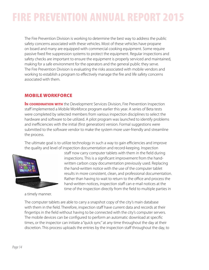The Fire Prevention Division is working to determine the best way to address the public safety concerns associated with these vehicles. Most of these vehicles have propane on board and many are equipped with commercial cooking equipment. Some require passive fixed fire suppression systems to protect the equipment. Regular inspections and safety checks are important to ensure the equipment is properly serviced and maintained, making for a safe environment for the operators and the general public they serve. The Fire Prevention Division is evaluating the risks associated with mobile vendors and working to establish a program to effectively manage the fire and life safety concerns associated with them.

### MOBILE WORKFORCE

**IN COORDINATION WITH** the Development Services Division, Fire Prevention Inspection staff implemented a Mobile Workforce program earlier this year. A series of Beta tests were completed by selected members from various inspection disciplines to select the hardware and software to be utilized. A pilot program was launched to identify problems and inefficiencies with the initial (first generation) version. Formal suggestions were submitted to the software vendor to make the system more user-friendly and streamline the process.

The ultimate goal is to utilize technology in such a way to gain efficiencies and improve the quality and level of inspection documentation and record-keeping. Inspection



a timely manner.

staff now carry computer tablets with them in the field during inspections. This is a significant improvement from the handwritten carbon copy documentation previously used. Replacing the hand-written notice with the use of the computer tablet results in more consistent, clean, and professional documentation. Rather than having to wait to return to the office and process the hand-written notices, inspection staff can e-mail notices at the time of the inspection directly from the field to multiple parties in

The computer tablets are able to carry a snapshot copy of the city's main database with them in the field. Therefore, inspection staff have current data and records at their fingertips in the field without having to be connected with the city's computer servers. The mobile devices can be configured to perform an automatic download at specific times, or the inspector can initiate a "quick sync" at any time throughout the day at their discretion. This process uploads the entries by the inspection staff throughout the day, to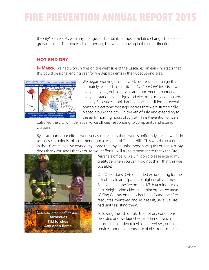the city's servers. As with any change, and certainly computer-related change, there are growing pains. The process is not perfect, but we are moving in the right direction.

# HOT AND DRY

IN MARCH, we had 8 brush fires on the west side of the Cascades, an early indicator that this could be a challenging year for fire departments in the Puget Sound area.



We began working on a fireworks outreach campaign that ultimately resulted in an article in "*It's Your City*", inserts into every utility bill, public service announcements, banners at every fire stations, yard signs and electronic message boards at every Bellevue school that had one in addition to several portable electronic message boards that were strategically placed around the city. On the 4th of July, and extending to the early morning hours of July 5th, Fire Prevention officers

patrolled the city with Bellevue Police officers responding to complaints and issuing citations.

By all accounts, our efforts were very successful as there were significantly less fireworks in use. Case in point is this comment from a resident of Tamara Hills "This was the first time in the 16 years that I've owned my home that my neighborhood was quiet on the 4th. My dogs thank you and I thank you for your efforts. I will try to remember to thank the Fire



Marshal's office as well. If I don't, please extend my gratitude when you can. I did not think that this was possible."

Our Operations Division added extra staffing for the 4th of July in anticipation of higher call volumes. Bellevue had one fire on July 4/5th (a minor grass fire). Neighboring cities and unincorporated areas of King County on the other hand found their fire resources overtaxed and, as a result, Bellevue Fire had units assisting them.

Following the 4th of July, the hot dry conditions persisted and we launched another outreach effort that included television interviews, public service announcements, use of electronic message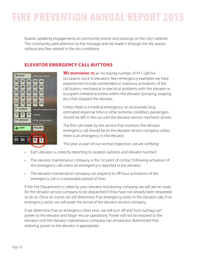boards, speaking engagements at community events and postings on the city's website. The community paid attention to the message and we made it through the dry season without any fires related to the dry conditions.

# ELEVATOR EMERGENCY CALL BUTTONS



WE RESPONDED TO an increasing number of 911 calls for occupants stuck in elevators. Non-emergency examples we have experienced include unintended or malicious activations of the call button, mechanical or electrical problems with the elevator or occupant-initiated activities within the elevator (jumping, swaying etc.) that stopped the elevator.

Unless there is a medical emergency, an excessively long estimated response time or other extreme condition, passengers should be left in the car until the elevator service mechanic arrives.

The first call made by the service that monitors the elevator emergency call should be to the elevator service company unless there is an emergency in the elevator.

This year, as part of our normal inspection, we are verifying:

- Each elevator is correctly reporting its location (address and elevator number)
- The elevator maintenance company is the 1st point of contact following activation of the emergency call unless an emergency is reported in the elevator.
- The elevator maintenance company can respond to off-hour activations of the emergency call in a reasonable period of time.

If the Fire Department is called by your elevator monitoring company, we will ask en route for the elevator service company to be dispatched if they have not already been requested to do so. Once on scene, we will determine if an emergency exists in the elevator cab; if no emergency exists, we will await the arrival of the elevator service company.

If we determine that an emergency does exist, we will turn off and "lock out/tag out" power to the elevator and begin rescue operations. Power will not be restored to the elevator until the elevator maintenance company has arrived and determined that restoring power to the elevator is appropriate.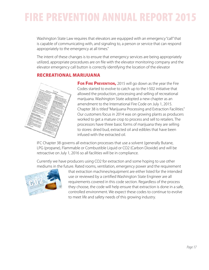Washington State Law requires that elevators are equipped with an emergency "call" that is capable of communicating with, and signaling to, a person or service that can respond appropriately to the emergency at all times."

The intent of these changes is to ensure that emergency services are being appropriately utilized, appropriate procedures are on file with the elevator monitoring company and the elevator emergency call button is correctly identifying the location of the elevator

### RECREATIONAL MARIJUANA



**For FIRE PREVENTION, 2015 will go down as the year the Fire** Codes started to evolve to catch up to the I-502 initiative that allowed the production, processing and selling of recreational marijuana. Washington State adopted a new chapter as an amendment to the International Fire Code on July 1, 2015. Chapter 38 is titled "Marijuana Processing and Extraction Facilities." Our customers focus in 2014 was on growing plants as producers worked to get a mature crop to process and sell to retailers. The processors have three basic forms of marijuana they are selling to stores: dried bud, extracted oil and edibles that have been infused with the extracted oil.

IFC Chapter 38 governs all extraction processes that use a solvent (generally Butane, LPG (propane), Flammable or Combustible Liquid or CO2 (Carbon Dioxide) and will be retroactive on July 1, 2016 so all facilities will be in compliance.

Currently we have producers using CO2 for extraction and some hoping to use other mediums in the future. Rated rooms, ventilation, emergency power and the requirement



that extraction machines/equipment are either listed for the intended use or reviewed by a certified Washington State Engineer are all requirements covered in this code section. Regardless of the process they choose, the code will help ensure that extraction is done in a safe, controlled environment. We expect these codes to continue to evolve to meet life and safety needs of this growing industry.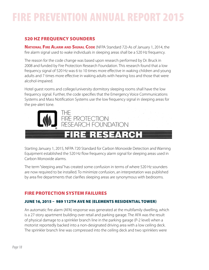# 520 HZ FREQUENCY SOUNDERS

**National Fire Alarm and Signal Code** (NFPA Standard 72)-As of January 1, 2014, the fire alarm signal used to wake individuals in sleeping areas shall be a 520 Hz frequency.

The reason for the code change was based upon research performed by Dr. Bruck in 2008 and funded by Fire Protection Research Foundation. This research found that a low frequency signal of 520 Hz was 6 to 10 times more effective in waking children and young adults and 7 times more effective in waking adults with hearing loss and those that were alcohol-impaired.

Hotel guest rooms and college/university dormitory sleeping rooms shall have the low frequency signal. Further, the code specifies that the Emergency Voice Communications Systems and Mass Notification Systems use the low frequency signal in sleeping areas for the pre-alert tone.



Starting January 1, 2015, NFPA 720 Standard for Carbon Monoxide Detection and Warning Equipment established the 520 Hz flow frequency alarm signal for sleeping areas used in Carbon Monoxide alarms.

The term "sleeping area" has created some confusion in terms of where 520 Hz sounders are now required to be installed. To minimize confusion, an interpretation was published by area fire departments that clarifies sleeping areas are synonymous with bedrooms.

## FIRE PROTECTION SYSTEM FAILURES

### JUNE 16, 2015 – 989 112TH AVE NE (ELEMENTS RESIDENTIAL TOWER)

An automatic fire alarm (AFA) response was generated at the multifamily dwelling, which is a 27-story apartment building over retail and parking garage. The AFA was the result of physical damage to a sprinkler branch line in the parking garage (P-2 level) when a motorist reportedly backed into a non-designated driving area with a low ceiling deck. The sprinkler branch line was compressed into the ceiling deck and two sprinklers were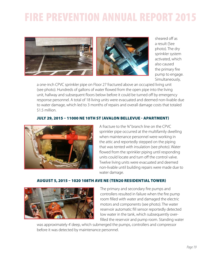

sheared off as a result (See photo). The dry sprinkler system activated, which also caused the primary fire pump to engage. Simultaneously,

a one-inch CPVC sprinkler pipe on Floor 27 fractured above an occupied living unit (see photo). Hundreds of gallons of water flowed from the open pipe into the living unit, hallway and subsequent floors below before it could be turned off by emergency response personnel. A total of 18 living units were evacuated and deemed non-livable due to water damage, which led to 3 months of repairs and overall damage costs that totaled \$1.5 million.

### JULY 29, 2015 – 11000 NE 10TH ST (AVALON BELLEVUE - APARTMENT)



A fracture to the ¾" branch line on the CPVC sprinkler pipe occurred at the multifamily dwelling when maintenance personnel were working in the attic and reportedly stepped on the piping that was tented with insulation (see photo). Water flowed from the sprinkler piping until responding units could locate and turn off the control valve. Twelve living units were evacuated and deemed non-livable until building repairs were made due to water damage.

### AUGUST 5, 2015 – 1020 108TH AVE NE (TEN20 RESIDENTIAL TOWER)



The primary and secondary fire pumps and controllers resulted in failure when the fire pump room filled with water and damaged the electric motors and components (see photo). The water reservoir automatic fill sensor reportedly detected low water in the tank, which subsequently overfilled the reservoir and pump room. Standing water

was approximately 4' deep, which submerged the pumps, controllers and compressor before it was detected by maintenance personnel.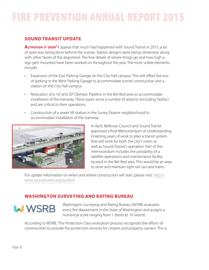# SOUND TRANSIT UPDATE

**ALTHOUGH IT DIDN'T** appear that much had happened with Sound Transit in 2015, a lot of work was being done behind the scenes. Station designs were being cemented, along with other facets of the alignment. The fine details of where things go and how high a sign gets mounted have been worked on throughout the year. The most visible elements include:

- Expansion of the East Parking Garage on the City Hall campus. This will offset the loss of parking in the West Parking Garage to accommodate tunnel construction and a station on the City Hall campus.
- Relocation of a 16" and 20" Olympic Pipeline in the Bel-Red area to accommodate installation of the trainway. These pipes serve a number of airports (including SeaTac) and are critical to their operations.
- Construction of a sewer lift station in the Surrey Downs neighborhood to accommodate installation of the trainway.



In April, Bellevue Council and Sound Transit approved a final Memorandum of Understanding. Finalizing years of work to plan a transit system that will work for both the city's vision as well as Sound Transit's operation. Part of this memorandum includes the possibility of a satellite operations and maintenance facility located in the Bel-Red area. This would be an area to store and maintain light rail cars and trains.

For update information on when and where construction will start, please visit: http:// www.soundtransit.org/eastlink

# WASHINGTON SURVEYING AND RATING BUREAU



Washington Surveying and Rating Bureau (WSRB) evaluates every fire department in the State of Washington and assigns a numerical score ranging from 1 (best) to 10 (worst).

According to WSRB, "The Protection Class evaluation process recognizes the efforts of communities to provide fire-protection services for citizens and property owners. This is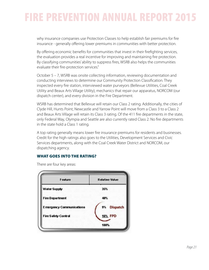why insurance companies use Protection Classes to help establish fair premiums for fire insurance - generally offering lower premiums in communities with better protection.

By offering economic benefits for communities that invest in their firefighting services, the evaluation provides a real incentive for improving and maintaining fire protection. By classifying communities' ability to suppress fires, WSRB also helps the communities evaluate their fire-protection services."

October 5 – 7, WSRB was onsite collecting information, reviewing documentation and conducting interviews to determine our Community Protection Classification. They inspected every fire station, interviewed water purveyors (Bellevue Utilities, Coal Creek Utility and Beaux Arts Village Utility), mechanics that repair our apparatus, NORCOM (our dispatch center), and every division in the Fire Department.

WSRB has determined that Bellevue will retain our Class 2 rating. Additionally, the cities of Clyde Hill, Hunts Point, Newcastle and Yarrow Point will move from a Class 3 to a Class 2 and Beaux Arts Village will retain its Class 3 rating. Of the 411 fire departments in the state, only Federal Way, Olympia and Seattle are also currently rated Class 2. No fire departments in the state hold a Class 1 rating.

A top rating generally means lower fire insurance premiums for residents and businesses. Credit for the high ratings also goes to the Utilities, Development Services and Civic Services departments, along with the Coal Creek Water District and NORCOM, our dispatching agency.

### WHAT GOES INTO THE RATING?

**Relative Value** Feature **Water Supply** 35% **Fire Department** 40% **Emergency Communications Dispatch** 9% **16% FPD Fire Safety Control** 100%

There are four key areas: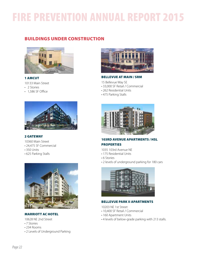# BUILDINGS UNDER CONSTRUCTION



#### 1 AMCUT

- 10133 Main Street
- 2 Stories
- 1,586 SF Office



#### 2 GATEWAY

- 10360 Main Street
- 24,475 SF Commercial
- 350 Units
- 625 Parking Stalls



### MARRIOTT AC HOTEL

10628 NE 2nd Street

- 7 Stories
- 234 Rooms
- 2 Levels of Underground Parking



#### BELLEVUE AT MAIN / SRM

- 15 Bellevue Way SE
- 33,000 SF Retail / Commercial
- 262 Residential Units
- 475 Parking Stalls



103RD AVENUE APARTMENTS / HSL **PROPERTIES** 

- 1035 103rd Avenue NE
- 175 Residential Units
- 6 Stories
- 2 levels of underground parking for 180 cars



#### BELLEVUE PARK II APARTMENTS

10203 NE 1st Street

- 10,400 SF Retail / Commercial
- 160 Apartment Units
- 4 levels of below-grade parking with 213 stalls.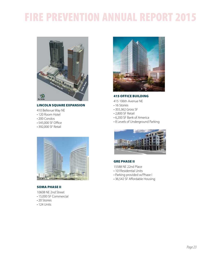

#### LINCOLN SQUARE EXPANSION

- 410 Bellevue Way NE
- 120 Room Hotel
- 200 Condos
- 545,000 SF Office
- 392,000 SF Retail



#### SOMA PHASE II

10608 NE 2nd Street

- 15,000 SF Commercial
- 20 Stories
- 124 Units



#### 415 OFFICE BUILDING

- 415 106th Avenue NE
- 16 Stories
- 355,362 Gross SF
- 2,800 SF Retail
- 6,200 SF Bank of America
- 8 Levels of Underground Parking



#### GRE PHASE II

- 15588 NE 22nd Place
- 101Residential Units
- Parking provided w/Phase I
- 36,542 SF Affordable Housing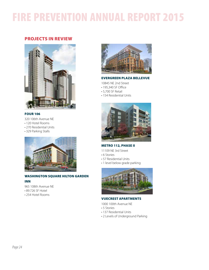### PROJECTS IN REVIEW



#### FOUR 106

320 106th Avenue NE

- 120 Hotel Rooms
- 270 Residential Units
- 329 Parking Stalls



#### WASHINGTON SQUARE HILTON GARDEN INN

965 108th Avenue NE

- 89.726 SF Hotel
- 254 Hotel Rooms



#### EVERGREEN PLAZA BELLEVUE

- 10845 NE 2nd Street
- 195,340 SF Office
- 5,700 SF Retail
- 154 Residential Units



### METRO 112, PHASE II

- 11109 NE 3rd Street
- 6 Stories
- 57 Residential Units
- 1 level below grade parking



#### VUECREST APARTMENTS

1000 100th Avenue NE

- 5 Stories
- 137 Residential Units
- 2 Levels of Underground Parking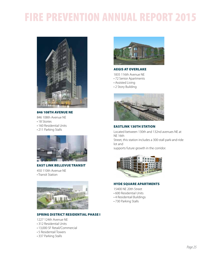

846 108TH AVENUE NE 846 108th Avenue NE

• 18 Stories

• 160 Residential Units

• 211 Parking Stalls



EAST LINK BELLEVUE TRANSIT

450 110th Avenue NE • Transit Station



#### SPRING DISTRICT RESIDENTIAL PHASE I

1227 124th Avenue NE

- 312 Residential Units
- 13,000 SF Retail/Commercial
- 5 Residentail Towers
- 337 Parking Stalls



#### AEGIS AT OVERLAKE

1835 116th Avenue NE

- 72 Senior Apartments
- Assisted Living
- 2 Story Building



#### EASTLINK 130TH STATION

Located between 130th and 132nd avenues NE at NE 16th Street, this station includes a 300-stall park-and-ride lot and

supports future growth in the corridor.



### HYDE SQUARE APARTMENTS

15400 NE 20th Street

- 600 Residential Units
- 4 Residentail Buildings
- 730 Parking Stalls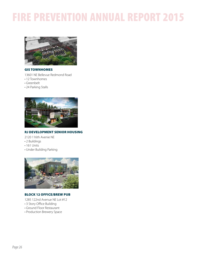

#### GIS TOWNHOMES

13601 NE Bellevue Redmond Road

- 12 Townhomes
- Greenbelt
- 24 Parking Stalls



#### RJ DEVELOPMENT SENIOR HOUSING

2120 116th Avenie NE

- 2 Buildings
- 161 Units
- Under Building Parking



#### BLOCK 12 OFFICE/BREW PUB

1285 122nd Avenue NE Lot #12

- 3 Story Office Building
- Ground Floor Restaurant
- Production Brewery Space